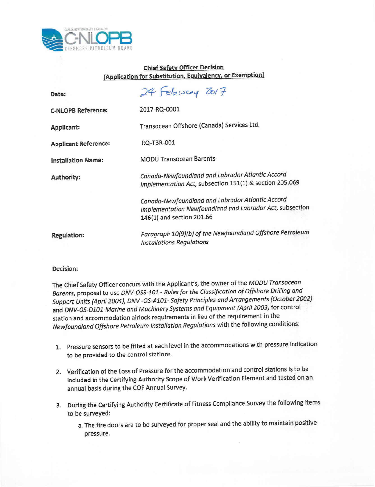

## **Chief Safety Officer Decision (Application for Substitution, Equivalency, or Exemption)**

| Date:                       | 24 February 2017                                                                                                                          |
|-----------------------------|-------------------------------------------------------------------------------------------------------------------------------------------|
| <b>C-NLOPB Reference:</b>   | 2017-RQ-0001                                                                                                                              |
| Applicant:                  | Transocean Offshore (Canada) Services Ltd.                                                                                                |
| <b>Applicant Reference:</b> | <b>RQ-TBR-001</b>                                                                                                                         |
| <b>Installation Name:</b>   | <b>MODU Transocean Barents</b>                                                                                                            |
| Authority:                  | Canada-Newfoundland and Labrador Atlantic Accord<br>Implementation Act, subsection 151(1) & section 205.069                               |
|                             | Canada-Newfoundland and Labrador Atlantic Accord<br>Implementation Newfoundland and Labrador Act, subsection<br>146(1) and section 201.66 |
| <b>Regulation:</b>          | Paragraph 10(9)(b) of the Newfoundland Offshore Petroleum<br><b>Installations Regulations</b>                                             |

## **Decision:**

The Chief Safety Officer concurs with the Applicant's, the owner of the *MODU Transocean Barents,* proposal to use *DNV-OSS-l0l - Rules for the Classification of Offshore Drilling and Support Units (April 2004), DNV -OS-Al0l- Safety Principles and Arrangements (October 20Q~)* and *DNV-OS-Dl0l-Marine and Machinery Systems and Equipment (April 2003)* for control station and accommodation airlock requirements in lieu of the requirement in the *Newfoundland Offshore Petroleum Installation Regulations* with the following conditions:

- 1. Pressure sensors to be fitted at each level in the accommodations with pressure indication to be provided to the control stations.
- 2. Verification of the Loss of Pressure for the accommodation and control stations is to be included in the Certifying Authority Scope of Work Verification Element and tested on an annual basis during the COF Annual Survey.
- 3. During the Certifying Authority Certificate of Fitness Compliance Survey the following items to be surveyed:
	- a. The fire doors are to be surveyed for proper seal and the ability to maintain positive pressure.